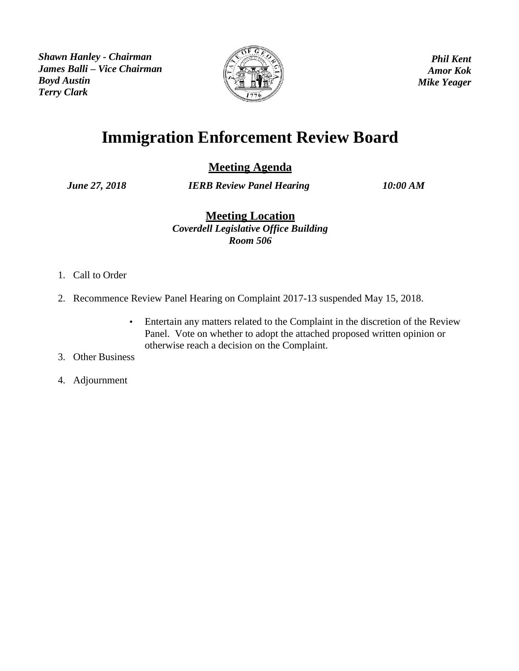*Shawn Hanley - Chairman James Balli – Vice Chairman Boyd Austin Terry Clark*



*Phil Kent Amor Kok Mike Yeager*

## **Immigration Enforcement Review Board**

**Meeting Agenda**

*June 27, 2018 IERB Review Panel Hearing 10:00 AM*

**Meeting Location** *Coverdell Legislative Office Building Room 506*

- 1. Call to Order
- 2. Recommence Review Panel Hearing on Complaint 2017-13 suspended May 15, 2018.
	- Entertain any matters related to the Complaint in the discretion of the Review Panel. Vote on whether to adopt the attached proposed written opinion or otherwise reach a decision on the Complaint.
- 3. Other Business
- 4. Adjournment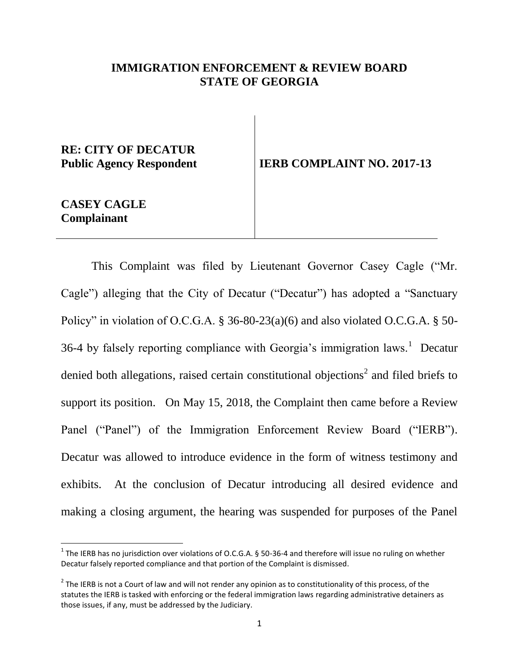#### **IMMIGRATION ENFORCEMENT & REVIEW BOARD STATE OF GEORGIA**

# **RE: CITY OF DECATUR**

Public Agency Respondent **IERB COMPLAINT NO. 2017-13** 

#### **CASEY CAGLE Complainant**

 $\overline{a}$ 

This Complaint was filed by Lieutenant Governor Casey Cagle ("Mr. Cagle") alleging that the City of Decatur ("Decatur") has adopted a "Sanctuary Policy" in violation of O.C.G.A. § 36-80-23(a)(6) and also violated O.C.G.A. § 50-36-4 by falsely reporting compliance with Georgia's immigration laws.<sup>1</sup> Decatur denied both allegations, raised certain constitutional objections<sup>2</sup> and filed briefs to support its position. On May 15, 2018, the Complaint then came before a Review Panel ("Panel") of the Immigration Enforcement Review Board ("IERB"). Decatur was allowed to introduce evidence in the form of witness testimony and exhibits. At the conclusion of Decatur introducing all desired evidence and making a closing argument, the hearing was suspended for purposes of the Panel

<sup>&</sup>lt;sup>1</sup> The IERB has no jurisdiction over violations of O.C.G.A. § 50-36-4 and therefore will issue no ruling on whether Decatur falsely reported compliance and that portion of the Complaint is dismissed.

 $2$  The IERB is not a Court of law and will not render any opinion as to constitutionality of this process, of the statutes the IERB is tasked with enforcing or the federal immigration laws regarding administrative detainers as those issues, if any, must be addressed by the Judiciary.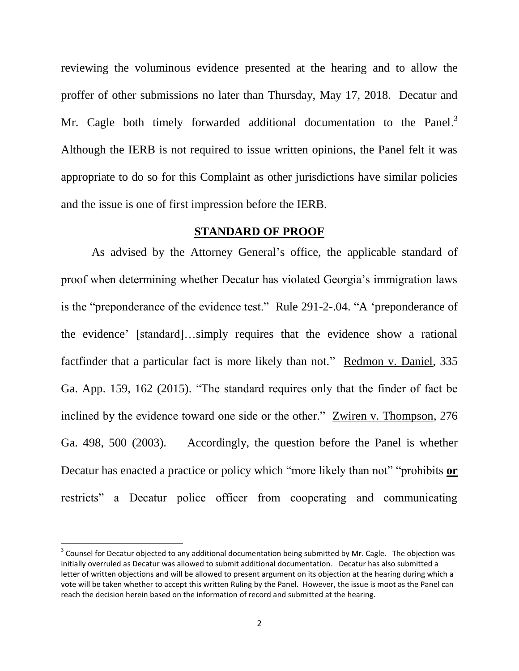reviewing the voluminous evidence presented at the hearing and to allow the proffer of other submissions no later than Thursday, May 17, 2018. Decatur and Mr. Cagle both timely forwarded additional documentation to the Panel.<sup>3</sup> Although the IERB is not required to issue written opinions, the Panel felt it was appropriate to do so for this Complaint as other jurisdictions have similar policies and the issue is one of first impression before the IERB.

#### **STANDARD OF PROOF**

As advised by the Attorney General's office, the applicable standard of proof when determining whether Decatur has violated Georgia's immigration laws is the "preponderance of the evidence test." Rule 291-2-.04. "A 'preponderance of the evidence' [standard]…simply requires that the evidence show a rational factfinder that a particular fact is more likely than not." Redmon v. Daniel, 335 Ga. App. 159, 162 (2015). "The standard requires only that the finder of fact be inclined by the evidence toward one side or the other." Zwiren v. Thompson, 276 Ga. 498, 500 (2003). Accordingly, the question before the Panel is whether Decatur has enacted a practice or policy which "more likely than not" "prohibits **or** restricts" a Decatur police officer from cooperating and communicating

 $\overline{a}$ 

 $3$  Counsel for Decatur objected to any additional documentation being submitted by Mr. Cagle. The objection was initially overruled as Decatur was allowed to submit additional documentation. Decatur has also submitted a letter of written objections and will be allowed to present argument on its objection at the hearing during which a vote will be taken whether to accept this written Ruling by the Panel. However, the issue is moot as the Panel can reach the decision herein based on the information of record and submitted at the hearing.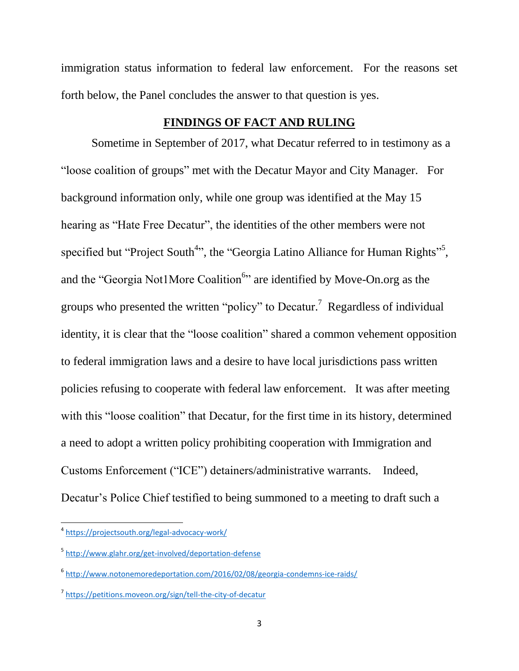immigration status information to federal law enforcement. For the reasons set forth below, the Panel concludes the answer to that question is yes.

#### **FINDINGS OF FACT AND RULING**

Sometime in September of 2017, what Decatur referred to in testimony as a "loose coalition of groups" met with the Decatur Mayor and City Manager. For background information only, while one group was identified at the May 15 hearing as "Hate Free Decatur", the identities of the other members were not specified but "Project South<sup>4</sup>", the "Georgia Latino Alliance for Human Rights<sup>"5</sup>, and the "Georgia Not1More Coalition<sup>6</sup>" are identified by Move-On.org as the groups who presented the written "policy" to Decatur.<sup>7</sup> Regardless of individual identity, it is clear that the "loose coalition" shared a common vehement opposition to federal immigration laws and a desire to have local jurisdictions pass written policies refusing to cooperate with federal law enforcement. It was after meeting with this "loose coalition" that Decatur, for the first time in its history, determined a need to adopt a written policy prohibiting cooperation with Immigration and Customs Enforcement ("ICE") detainers/administrative warrants. Indeed, Decatur's Police Chief testified to being summoned to a meeting to draft such a

 $\overline{\phantom{a}}$ 

<sup>4</sup> <https://projectsouth.org/legal-advocacy-work/>

<sup>&</sup>lt;sup>5</sup> <http://www.glahr.org/get-involved/deportation-defense>

<sup>6</sup> <http://www.notonemoredeportation.com/2016/02/08/georgia-condemns-ice-raids/>

<sup>7</sup> <https://petitions.moveon.org/sign/tell-the-city-of-decatur>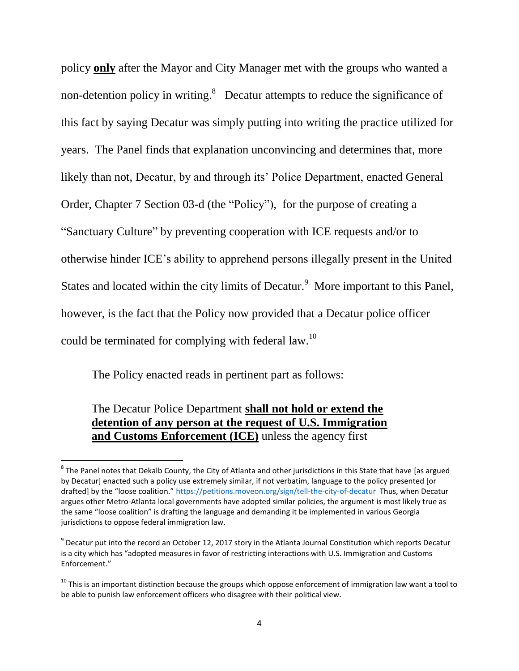policy **only** after the Mayor and City Manager met with the groups who wanted a non-detention policy in writing.<sup>8</sup> Decatur attempts to reduce the significance of this fact by saying Decatur was simply putting into writing the practice utilized for years. The Panel finds that explanation unconvincing and determines that, more likely than not, Decatur, by and through its' Police Department, enacted General Order, Chapter 7 Section 03-d (the "Policy"), for the purpose of creating a "Sanctuary Culture" by preventing cooperation with ICE requests and/or to otherwise hinder ICE's ability to apprehend persons illegally present in the United States and located within the city limits of Decatur. More important to this Panel, however, is the fact that the Policy now provided that a Decatur police officer could be terminated for complying with federal law.<sup>10</sup>

The Policy enacted reads in pertinent part as follows:

### The Decatur Police Department **shall not hold or extend the detention of any person at the request of U.S. Immigration and Customs Enforcement (ICE)** unless the agency first

**EXEL THE PANEL NOTES THE PROT THE PROTAL THE PROTAL THE PROTAL BY**<br>The Panel notes that Dekalb County, the City of Atlanta and other jurisdictions in this State that have [as argued by Decatur] enacted such a policy use extremely similar, if not verbatim, language to the policy presented [or drafted] by the "loose coalition." <https://petitions.moveon.org/sign/tell-the-city-of-decatur> Thus, when Decatur argues other Metro-Atlanta local governments have adopted similar policies, the argument is most likely true as the same "loose coalition" is drafting the language and demanding it be implemented in various Georgia jurisdictions to oppose federal immigration law.

 $^9$  Decatur put into the record an October 12, 2017 story in the Atlanta Journal Constitution which reports Decatur is a city which has "adopted measures in favor of restricting interactions with U.S. Immigration and Customs Enforcement."

 $10$  This is an important distinction because the groups which oppose enforcement of immigration law want a tool to be able to punish law enforcement officers who disagree with their political view.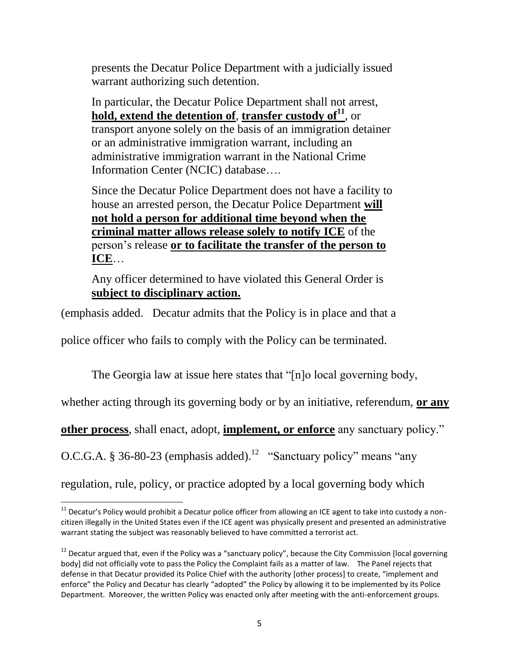presents the Decatur Police Department with a judicially issued warrant authorizing such detention.

In particular, the Decatur Police Department shall not arrest, **hold, extend the detention of**, **transfer custody of<sup>11</sup>** , or transport anyone solely on the basis of an immigration detainer or an administrative immigration warrant, including an administrative immigration warrant in the National Crime Information Center (NCIC) database….

Since the Decatur Police Department does not have a facility to house an arrested person, the Decatur Police Department **will not hold a person for additional time beyond when the criminal matter allows release solely to notify ICE** of the person's release **or to facilitate the transfer of the person to ICE**…

Any officer determined to have violated this General Order is **subject to disciplinary action.**

(emphasis added. Decatur admits that the Policy is in place and that a

police officer who fails to comply with the Policy can be terminated.

The Georgia law at issue here states that "[n]o local governing body,

whether acting through its governing body or by an initiative, referendum, **or any** 

**other process**, shall enact, adopt, **implement, or enforce** any sanctuary policy."

O.C.G.A. § 36-80-23 (emphasis added).<sup>12</sup> "Sanctuary policy" means "any

regulation, rule, policy, or practice adopted by a local governing body which

 $\overline{\phantom{a}}$ 

<sup>&</sup>lt;sup>11</sup> Decatur's Policy would prohibit a Decatur police officer from allowing an ICE agent to take into custody a noncitizen illegally in the United States even if the ICE agent was physically present and presented an administrative warrant stating the subject was reasonably believed to have committed a terrorist act.

<sup>&</sup>lt;sup>12</sup> Decatur argued that, even if the Policy was a "sanctuary policy", because the City Commission [local governing body] did not officially vote to pass the Policy the Complaint fails as a matter of law. The Panel rejects that defense in that Decatur provided its Police Chief with the authority [other process] to create, "implement and enforce" the Policy and Decatur has clearly "adopted" the Policy by allowing it to be implemented by its Police Department. Moreover, the written Policy was enacted only after meeting with the anti-enforcement groups.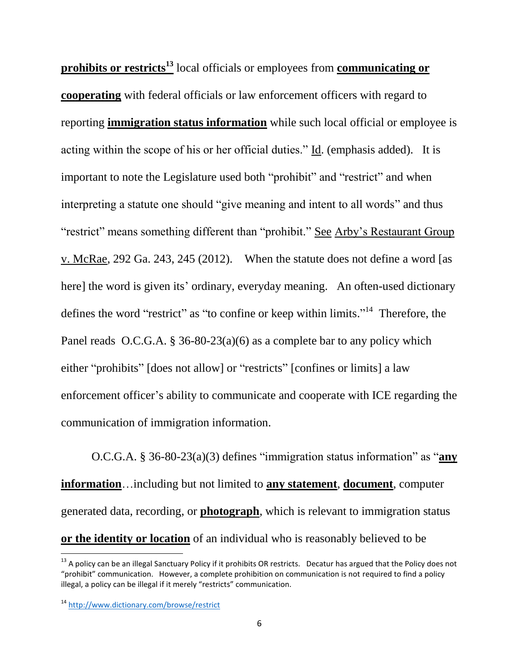**prohibits or restricts<sup>13</sup>** local officials or employees from **communicating or cooperating** with federal officials or law enforcement officers with regard to reporting **immigration status information** while such local official or employee is acting within the scope of his or her official duties." Id. (emphasis added). It is important to note the Legislature used both "prohibit" and "restrict" and when interpreting a statute one should "give meaning and intent to all words" and thus "restrict" means something different than "prohibit." See Arby's Restaurant Group v. McRae, 292 Ga. 243, 245 (2012). When the statute does not define a word [as here] the word is given its' ordinary, everyday meaning. An often-used dictionary defines the word "restrict" as "to confine or keep within limits."<sup>14</sup> Therefore, the Panel reads O.C.G.A. § 36-80-23(a)(6) as a complete bar to any policy which either "prohibits" [does not allow] or "restricts" [confines or limits] a law enforcement officer's ability to communicate and cooperate with ICE regarding the communication of immigration information.

O.C.G.A. § 36-80-23(a)(3) defines "immigration status information" as "**any information**…including but not limited to **any statement**, **document**, computer generated data, recording, or **photograph**, which is relevant to immigration status **or the identity or location** of an individual who is reasonably believed to be

l

 $13$  A policy can be an illegal Sanctuary Policy if it prohibits OR restricts. Decatur has argued that the Policy does not "prohibit" communication. However, a complete prohibition on communication is not required to find a policy illegal, a policy can be illegal if it merely "restricts" communication.

<sup>14</sup> <http://www.dictionary.com/browse/restrict>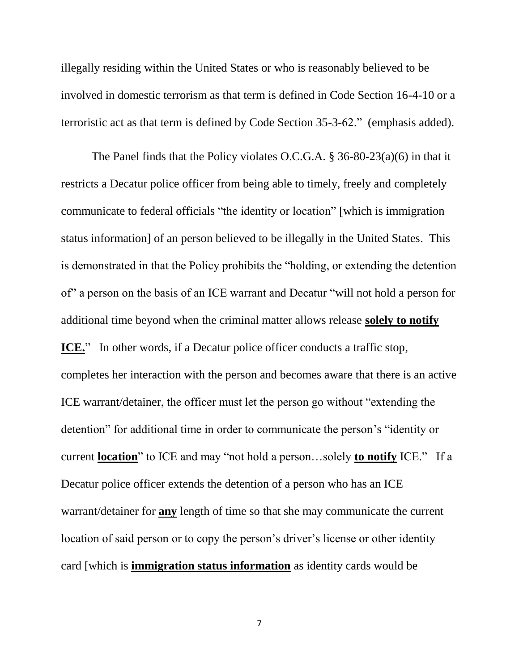illegally residing within the United States or who is reasonably believed to be involved in domestic terrorism as that term is defined in Code Section 16-4-10 or a terroristic act as that term is defined by Code Section 35-3-62." (emphasis added).

The Panel finds that the Policy violates O.C.G.A. § 36-80-23(a)(6) in that it restricts a Decatur police officer from being able to timely, freely and completely communicate to federal officials "the identity or location" [which is immigration status information] of an person believed to be illegally in the United States. This is demonstrated in that the Policy prohibits the "holding, or extending the detention of" a person on the basis of an ICE warrant and Decatur "will not hold a person for additional time beyond when the criminal matter allows release **solely to notify ICE.**" In other words, if a Decatur police officer conducts a traffic stop, completes her interaction with the person and becomes aware that there is an active ICE warrant/detainer, the officer must let the person go without "extending the detention" for additional time in order to communicate the person's "identity or current **location**" to ICE and may "not hold a person…solely **to notify** ICE." If a Decatur police officer extends the detention of a person who has an ICE warrant/detainer for **any** length of time so that she may communicate the current location of said person or to copy the person's driver's license or other identity card [which is **immigration status information** as identity cards would be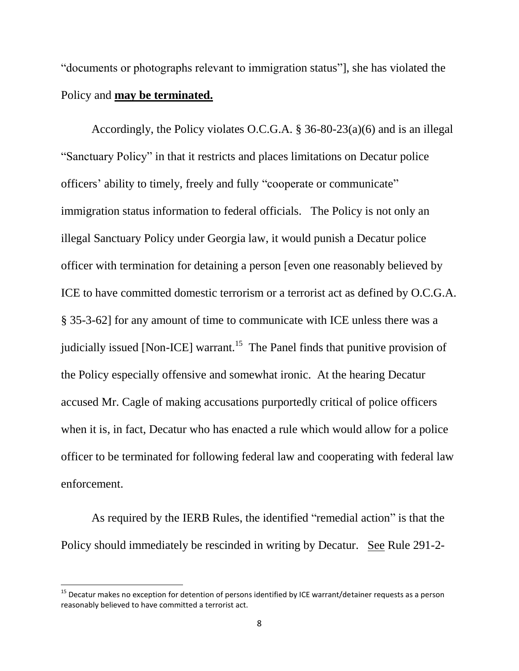"documents or photographs relevant to immigration status"], she has violated the Policy and **may be terminated.**

Accordingly, the Policy violates O.C.G.A. § 36-80-23(a)(6) and is an illegal "Sanctuary Policy" in that it restricts and places limitations on Decatur police officers' ability to timely, freely and fully "cooperate or communicate" immigration status information to federal officials. The Policy is not only an illegal Sanctuary Policy under Georgia law, it would punish a Decatur police officer with termination for detaining a person [even one reasonably believed by ICE to have committed domestic terrorism or a terrorist act as defined by O.C.G.A. § 35-3-62] for any amount of time to communicate with ICE unless there was a judicially issued [Non-ICE] warrant.<sup>15</sup> The Panel finds that punitive provision of the Policy especially offensive and somewhat ironic. At the hearing Decatur accused Mr. Cagle of making accusations purportedly critical of police officers when it is, in fact, Decatur who has enacted a rule which would allow for a police officer to be terminated for following federal law and cooperating with federal law enforcement.

As required by the IERB Rules, the identified "remedial action" is that the Policy should immediately be rescinded in writing by Decatur. See Rule 291-2-

l

<sup>&</sup>lt;sup>15</sup> Decatur makes no exception for detention of persons identified by ICE warrant/detainer requests as a person reasonably believed to have committed a terrorist act.